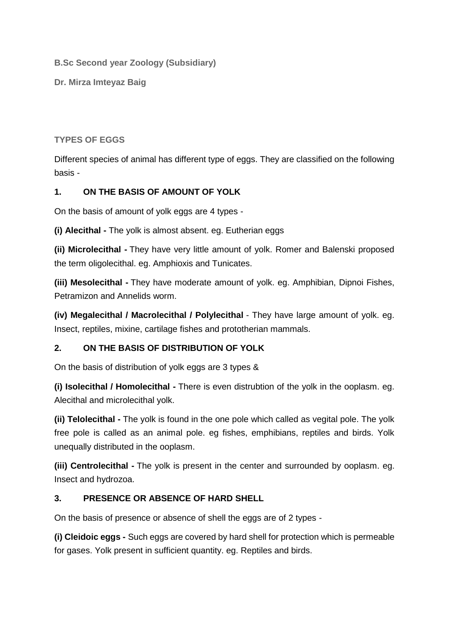**B.Sc Second year Zoology (Subsidiary)**

**Dr. Mirza Imteyaz Baig**

# **TYPES OF EGGS**

Different species of animal has different type of eggs. They are classified on the following basis -

## **1. ON THE BASIS OF AMOUNT OF YOLK**

On the basis of amount of yolk eggs are 4 types -

**(i) Alecithal -** The yolk is almost absent. eg. Eutherian eggs

**(ii) Microlecithal -** They have very little amount of yolk. Romer and Balenski proposed the term oligolecithal. eg. Amphioxis and Tunicates.

**(iii) Mesolecithal -** They have moderate amount of yolk. eg. Amphibian, Dipnoi Fishes, Petramizon and Annelids worm.

**(iv) Megalecithal / Macrolecithal / Polylecithal** - They have large amount of yolk. eg. Insect, reptiles, mixine, cartilage fishes and prototherian mammals.

# **2. ON THE BASIS OF DISTRIBUTION OF YOLK**

On the basis of distribution of yolk eggs are 3 types &

**(i) Isolecithal / Homolecithal -** There is even distrubtion of the yolk in the ooplasm. eg. Alecithal and microlecithal yolk.

**(ii) Telolecithal -** The yolk is found in the one pole which called as vegital pole. The yolk free pole is called as an animal pole. eg fishes, emphibians, reptiles and birds. Yolk unequally distributed in the ooplasm.

**(iii) Centrolecithal -** The yolk is present in the center and surrounded by ooplasm. eg. Insect and hydrozoa.

# **3. PRESENCE OR ABSENCE OF HARD SHELL**

On the basis of presence or absence of shell the eggs are of 2 types -

**(i) Cleidoic eggs -** Such eggs are covered by hard shell for protection which is permeable for gases. Yolk present in sufficient quantity. eg. Reptiles and birds.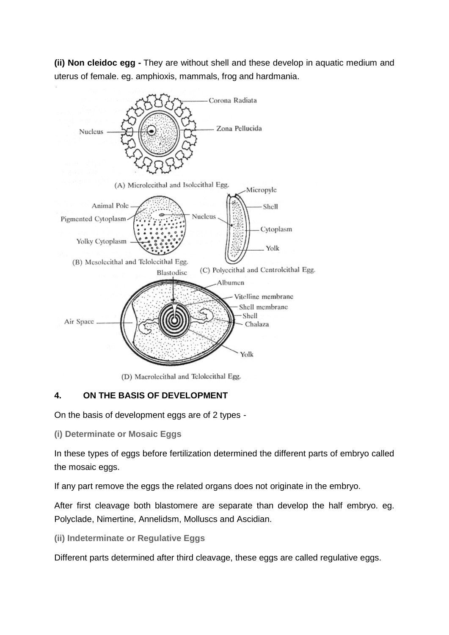**(ii) Non cleidoc egg -** They are without shell and these develop in aquatic medium and uterus of female. eg. amphioxis, mammals, frog and hardmania.



(D) Macrolecithal and Telolecithal Egg.

# **4. ON THE BASIS OF DEVELOPMENT**

On the basis of development eggs are of 2 types -

**(i) Determinate or Mosaic Eggs**

In these types of eggs before fertilization determined the different parts of embryo called the mosaic eggs.

If any part remove the eggs the related organs does not originate in the embryo.

After first cleavage both blastomere are separate than develop the half embryo. eg. Polyclade, Nimertine, Annelidsm, Molluscs and Ascidian.

**(ii) Indeterminate or Regulative Eggs**

Different parts determined after third cleavage, these eggs are called regulative eggs.